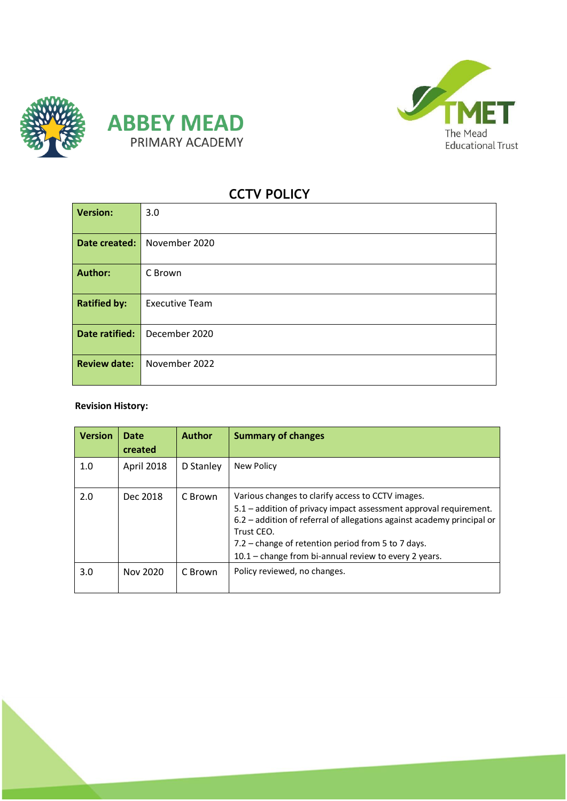





**1**

# **CCTV POLICY**

| <b>Version:</b>     | 3.0                   |  |  |
|---------------------|-----------------------|--|--|
| Date created:       | November 2020         |  |  |
| <b>Author:</b>      | C Brown               |  |  |
| <b>Ratified by:</b> | <b>Executive Team</b> |  |  |
| Date ratified:      | December 2020         |  |  |
| <b>Review date:</b> | November 2022         |  |  |

# **Revision History:**

| <b>Version</b> | <b>Date</b><br>created | <b>Author</b> | <b>Summary of changes</b>                                                                                                                                                                                                                                                                                                       |
|----------------|------------------------|---------------|---------------------------------------------------------------------------------------------------------------------------------------------------------------------------------------------------------------------------------------------------------------------------------------------------------------------------------|
| 1.0            | April 2018             | D Stanley     | New Policy                                                                                                                                                                                                                                                                                                                      |
| 2.0            | Dec 2018               | C Brown       | Various changes to clarify access to CCTV images.<br>5.1 – addition of privacy impact assessment approval requirement.<br>6.2 - addition of referral of allegations against academy principal or<br>Trust CEO.<br>7.2 – change of retention period from 5 to 7 days.<br>$10.1$ – change from bi-annual review to every 2 years. |
| 3.0            | Nov 2020               | C Brown       | Policy reviewed, no changes.                                                                                                                                                                                                                                                                                                    |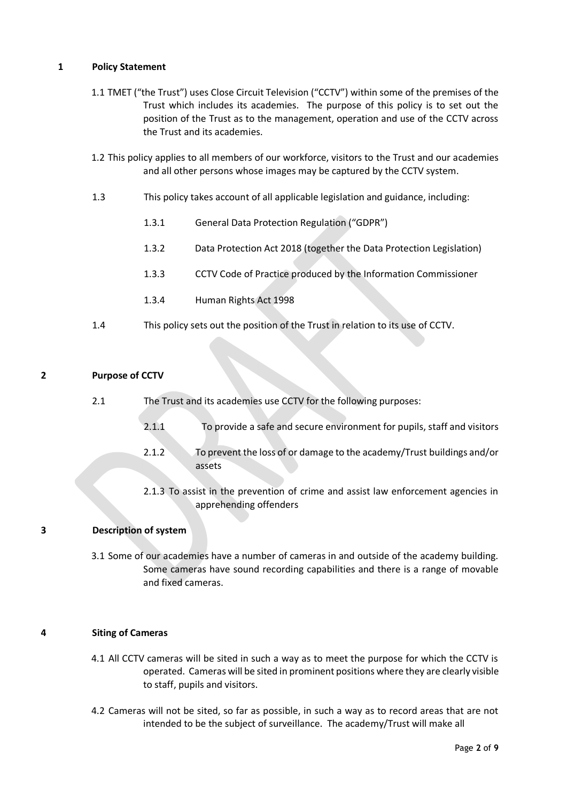# **1 Policy Statement**

- 1.1 TMET ("the Trust") uses Close Circuit Television ("CCTV") within some of the premises of the Trust which includes its academies. The purpose of this policy is to set out the position of the Trust as to the management, operation and use of the CCTV across the Trust and its academies.
- 1.2 This policy applies to all members of our workforce, visitors to the Trust and our academies and all other persons whose images may be captured by the CCTV system.
- 1.3 This policy takes account of all applicable legislation and guidance, including:
	- 1.3.1 General Data Protection Regulation ("GDPR")
	- 1.3.2 Data Protection Act 2018 (together the Data Protection Legislation)
	- 1.3.3 CCTV Code of Practice produced by the Information Commissioner
	- 1.3.4 Human Rights Act 1998
- 1.4 This policy sets out the position of the Trust in relation to its use of CCTV.

# **2 Purpose of CCTV**

- 2.1 The Trust and its academies use CCTV for the following purposes:
	- 2.1.1 To provide a safe and secure environment for pupils, staff and visitors
	- 2.1.2 To prevent the loss of or damage to the academy/Trust buildings and/or assets
	- 2.1.3 To assist in the prevention of crime and assist law enforcement agencies in apprehending offenders

# **3 Description of system**

3.1 Some of our academies have a number of cameras in and outside of the academy building. Some cameras have sound recording capabilities and there is a range of movable and fixed cameras.

# **4 Siting of Cameras**

- 4.1 All CCTV cameras will be sited in such a way as to meet the purpose for which the CCTV is operated. Cameras will be sited in prominent positions where they are clearly visible to staff, pupils and visitors.
- 4.2 Cameras will not be sited, so far as possible, in such a way as to record areas that are not intended to be the subject of surveillance. The academy/Trust will make all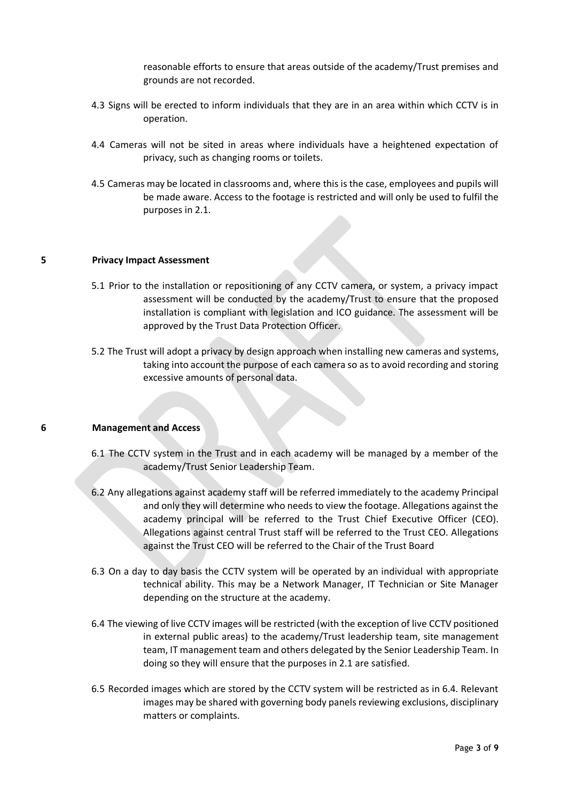reasonable efforts to ensure that areas outside of the academy/Trust premises and grounds are not recorded.

- 4.3 Signs will be erected to inform individuals that they are in an area within which CCTV is in operation.
- 4.4 Cameras will not be sited in areas where individuals have a heightened expectation of privacy, such as changing rooms or toilets.
- 4.5 Cameras may be located in classrooms and, where this is the case, employees and pupils will be made aware. Access to the footage is restricted and will only be used to fulfil the purposes in 2.1.

#### **5 Privacy Impact Assessment**

- 5.1 Prior to the installation or repositioning of any CCTV camera, or system, a privacy impact assessment will be conducted by the academy/Trust to ensure that the proposed installation is compliant with legislation and ICO guidance. The assessment will be approved by the Trust Data Protection Officer.
- 5.2 The Trust will adopt a privacy by design approach when installing new cameras and systems, taking into account the purpose of each camera so as to avoid recording and storing excessive amounts of personal data.

#### **6 Management and Access**

- 6.1 The CCTV system in the Trust and in each academy will be managed by a member of the academy/Trust Senior Leadership Team.
- 6.2 Any allegations against academy staff will be referred immediately to the academy Principal and only they will determine who needs to view the footage. Allegations against the academy principal will be referred to the Trust Chief Executive Officer (CEO). Allegations against central Trust staff will be referred to the Trust CEO. Allegations against the Trust CEO will be referred to the Chair of the Trust Board
- 6.3 On a day to day basis the CCTV system will be operated by an individual with appropriate technical ability. This may be a Network Manager, IT Technician or Site Manager depending on the structure at the academy.
- 6.4 The viewing of live CCTV images will be restricted (with the exception of live CCTV positioned in external public areas) to the academy/Trust leadership team, site management team, IT management team and others delegated by the Senior Leadership Team. In doing so they will ensure that the purposes in 2.1 are satisfied.
- 6.5 Recorded images which are stored by the CCTV system will be restricted as in 6.4. Relevant images may be shared with governing body panels reviewing exclusions, disciplinary matters or complaints.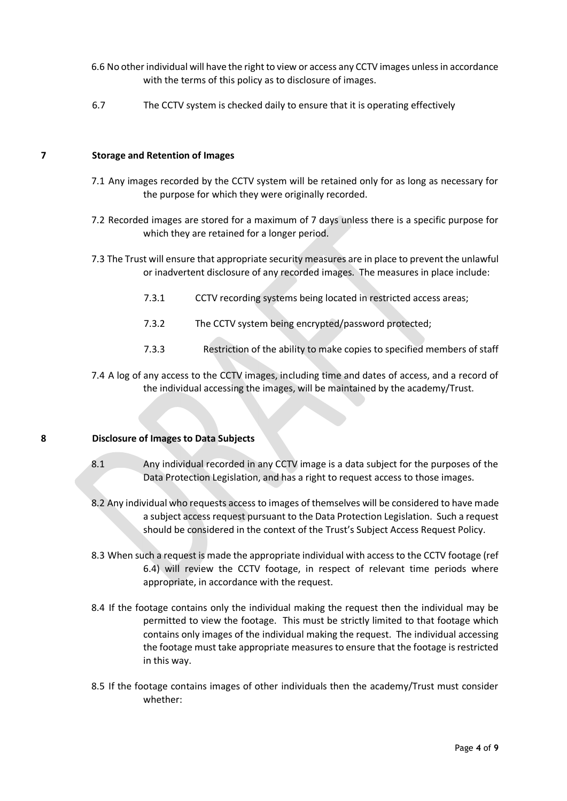- 6.6 No other individual will have the right to view or access any CCTV images unless in accordance with the terms of this policy as to disclosure of images.
- 6.7 The CCTV system is checked daily to ensure that it is operating effectively

#### **7 Storage and Retention of Images**

- 7.1 Any images recorded by the CCTV system will be retained only for as long as necessary for the purpose for which they were originally recorded.
- 7.2 Recorded images are stored for a maximum of 7 days unless there is a specific purpose for which they are retained for a longer period.
- 7.3 The Trust will ensure that appropriate security measures are in place to prevent the unlawful or inadvertent disclosure of any recorded images. The measures in place include:
	- 7.3.1 CCTV recording systems being located in restricted access areas;
	- 7.3.2 The CCTV system being encrypted/password protected;
	- 7.3.3 Restriction of the ability to make copies to specified members of staff
- 7.4 A log of any access to the CCTV images, including time and dates of access, and a record of the individual accessing the images, will be maintained by the academy/Trust.

#### **8 Disclosure of Images to Data Subjects**

- 8.1 Any individual recorded in any CCTV image is a data subject for the purposes of the Data Protection Legislation, and has a right to request access to those images.
- 8.2 Any individual who requests access to images of themselves will be considered to have made a subject access request pursuant to the Data Protection Legislation. Such a request should be considered in the context of the Trust's Subject Access Request Policy.
- 8.3 When such a request is made the appropriate individual with access to the CCTV footage (ref 6.4) will review the CCTV footage, in respect of relevant time periods where appropriate, in accordance with the request.
- 8.4 If the footage contains only the individual making the request then the individual may be permitted to view the footage. This must be strictly limited to that footage which contains only images of the individual making the request. The individual accessing the footage must take appropriate measures to ensure that the footage is restricted in this way.
- 8.5 If the footage contains images of other individuals then the academy/Trust must consider whether: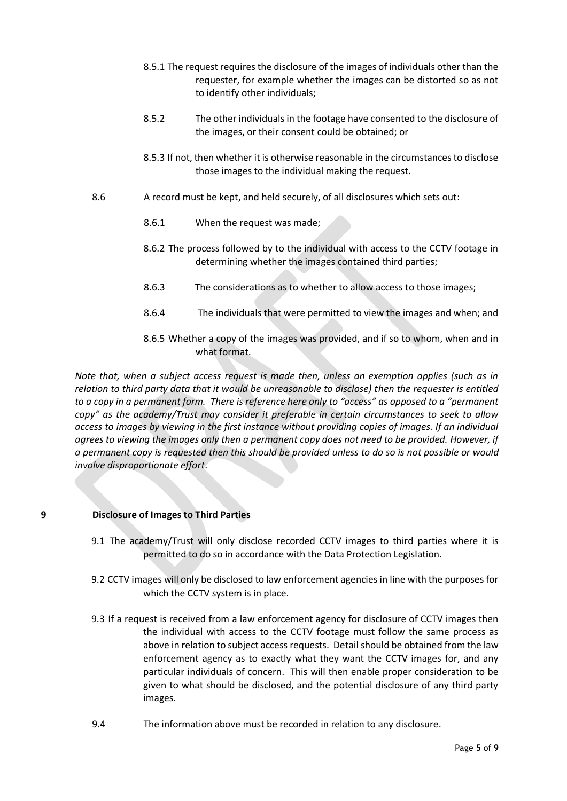- 8.5.1 The request requires the disclosure of the images of individuals other than the requester, for example whether the images can be distorted so as not to identify other individuals;
- 8.5.2 The other individuals in the footage have consented to the disclosure of the images, or their consent could be obtained; or
- 8.5.3 If not, then whether it is otherwise reasonable in the circumstances to disclose those images to the individual making the request.
- 8.6 A record must be kept, and held securely, of all disclosures which sets out:
	- 8.6.1 When the request was made;
	- 8.6.2 The process followed by to the individual with access to the CCTV footage in determining whether the images contained third parties;
	- 8.6.3 The considerations as to whether to allow access to those images;
	- 8.6.4 The individuals that were permitted to view the images and when; and
	- 8.6.5 Whether a copy of the images was provided, and if so to whom, when and in what format.

*Note that, when a subject access request is made then, unless an exemption applies (such as in relation to third party data that it would be unreasonable to disclose) then the requester is entitled to a copy in a permanent form. There is reference here only to "access" as opposed to a "permanent copy" as the academy/Trust may consider it preferable in certain circumstances to seek to allow access to images by viewing in the first instance without providing copies of images. If an individual agrees to viewing the images only then a permanent copy does not need to be provided. However, if a permanent copy is requested then this should be provided unless to do so is not possible or would involve disproportionate effort*.

# **9 Disclosure of Images to Third Parties**

- 9.1 The academy/Trust will only disclose recorded CCTV images to third parties where it is permitted to do so in accordance with the Data Protection Legislation.
- 9.2 CCTV images will only be disclosed to law enforcement agencies in line with the purposes for which the CCTV system is in place.
- 9.3 If a request is received from a law enforcement agency for disclosure of CCTV images then the individual with access to the CCTV footage must follow the same process as above in relation to subject access requests. Detail should be obtained from the law enforcement agency as to exactly what they want the CCTV images for, and any particular individuals of concern. This will then enable proper consideration to be given to what should be disclosed, and the potential disclosure of any third party images.
- 9.4 The information above must be recorded in relation to any disclosure.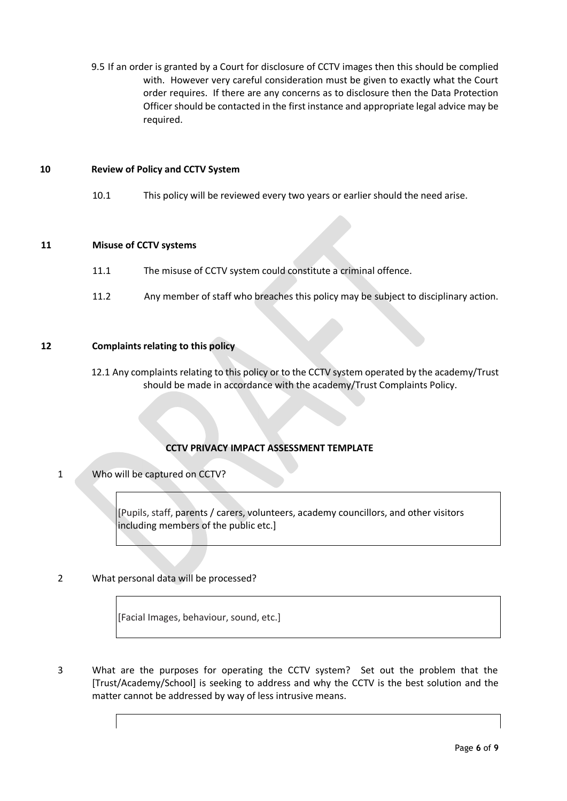9.5 If an order is granted by a Court for disclosure of CCTV images then this should be complied with. However very careful consideration must be given to exactly what the Court order requires. If there are any concerns as to disclosure then the Data Protection Officer should be contacted in the first instance and appropriate legal advice may be required.

#### **10 Review of Policy and CCTV System**

10.1 This policy will be reviewed every two years or earlier should the need arise.

# **11 Misuse of CCTV systems**

- 11.1 The misuse of CCTV system could constitute a criminal offence.
- 11.2 Any member of staff who breaches this policy may be subject to disciplinary action.

# **12 Complaints relating to this policy**

12.1 Any complaints relating to this policy or to the CCTV system operated by the academy/Trust should be made in accordance with the academy/Trust Complaints Policy.

# **CCTV PRIVACY IMPACT ASSESSMENT TEMPLATE**

1 Who will be captured on CCTV?

[Pupils, staff, parents / carers, volunteers, academy councillors, and other visitors including members of the public etc.]

# 2 What personal data will be processed?

[Facial Images, behaviour, sound, etc.]

3 What are the purposes for operating the CCTV system? Set out the problem that the [Trust/Academy/School] is seeking to address and why the CCTV is the best solution and the matter cannot be addressed by way of less intrusive means.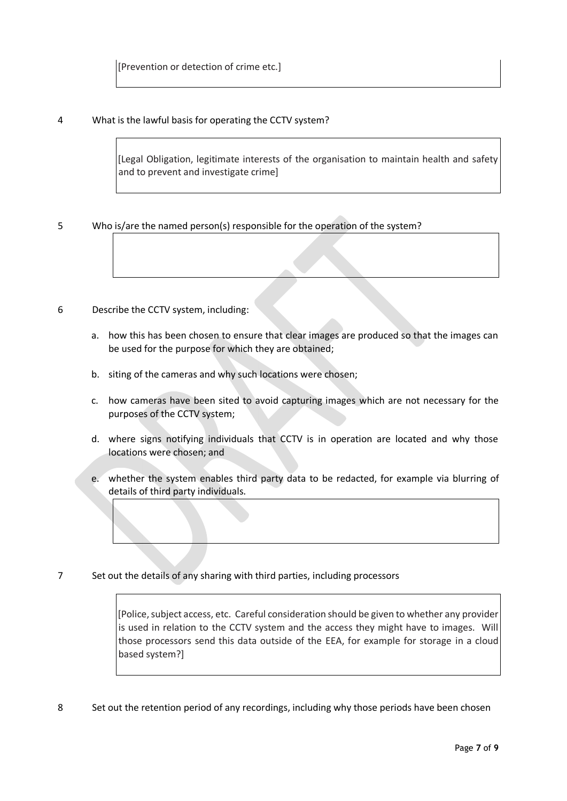# 4 What is the lawful basis for operating the CCTV system?

[Legal Obligation, legitimate interests of the organisation to maintain health and safety and to prevent and investigate crime]

5 Who is/are the named person(s) responsible for the operation of the system?

# 6 Describe the CCTV system, including:

- a. how this has been chosen to ensure that clear images are produced so that the images can be used for the purpose for which they are obtained;
- b. siting of the cameras and why such locations were chosen;
- c. how cameras have been sited to avoid capturing images which are not necessary for the purposes of the CCTV system;
- d. where signs notifying individuals that CCTV is in operation are located and why those locations were chosen; and
- e. whether the system enables third party data to be redacted, for example via blurring of details of third party individuals.
- 7 Set out the details of any sharing with third parties, including processors

[Police, subject access, etc. Careful consideration should be given to whether any provider is used in relation to the CCTV system and the access they might have to images. Will those processors send this data outside of the EEA, for example for storage in a cloud based system?]

8 Set out the retention period of any recordings, including why those periods have been chosen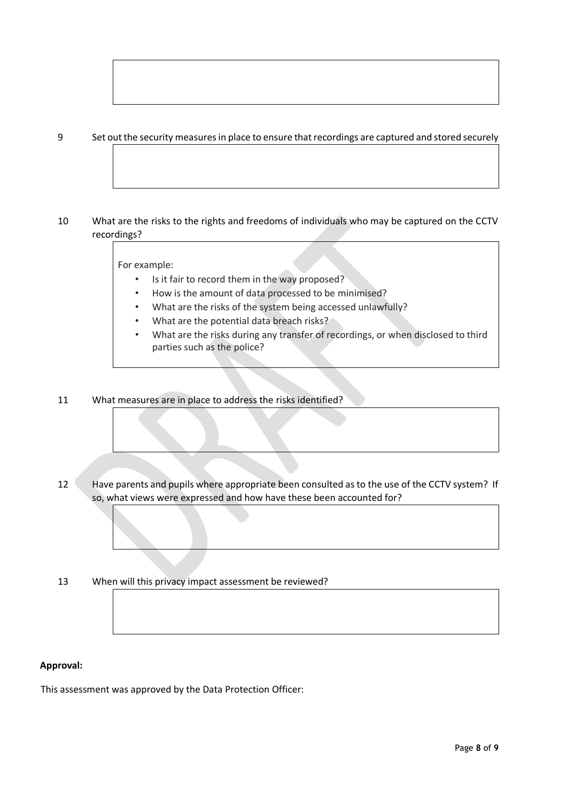# 9 Set out the security measures in place to ensure that recordings are captured and stored securely

# 10 What are the risks to the rights and freedoms of individuals who may be captured on the CCTV recordings?

For example:

- Is it fair to record them in the way proposed?
- How is the amount of data processed to be minimised?
- What are the risks of the system being accessed unlawfully?
- What are the potential data breach risks?
- What are the risks during any transfer of recordings, or when disclosed to third parties such as the police?

#### 11 What measures are in place to address the risks identified?

- 12 Have parents and pupils where appropriate been consulted as to the use of the CCTV system? If so, what views were expressed and how have these been accounted for?
- 13 When will this privacy impact assessment be reviewed?

#### **Approval:**

This assessment was approved by the Data Protection Officer: